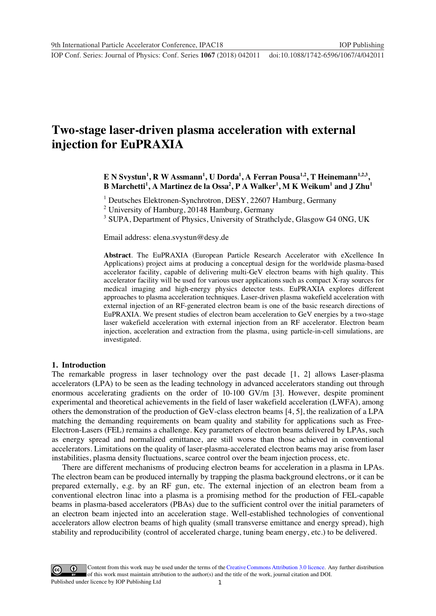**1234567890** ''"" IOP Conf. Series: Journal of Physics: Conf. Series **1067** (2018) 042011 doi :10.1088/1742-6596/1067/4/042011

# **Two-stage laser-driven plasma acceleration with external injection for EuPRAXIA**

## **E N Svystun<sup>1</sup> , R W Assmann<sup>1</sup> , U Dorda<sup>1</sup> , A Ferran Pousa1,2, T Heinemann1,2,3, B Marchetti<sup>1</sup> , A Martinez de la Ossa<sup>2</sup> , P A Walker<sup>1</sup> , M K Weikum<sup>1</sup> and J Zhu<sup>1</sup>**

<sup>1</sup> Deutsches Elektronen-Synchrotron, DESY, 22607 Hamburg, Germany

<sup>2</sup> University of Hamburg, 20148 Hamburg, Germany

<sup>3</sup> SUPA, Department of Physics, University of Strathclyde, Glasgow G4 0NG, UK

Email address: elena.svystun@desy.de

**Abstract**. The EuPRAXIA (European Particle Research Accelerator with eXcellence In Applications) project aims at producing a conceptual design for the worldwide plasma-based accelerator facility, capable of delivering multi-GeV electron beams with high quality. This accelerator facility will be used for various user applications such as compact X-ray sources for medical imaging and high-energy physics detector tests. EuPRAXIA explores different approaches to plasma acceleration techniques. Laser-driven plasma wakefield acceleration with external injection of an RF-generated electron beam is one of the basic research directions of EuPRAXIA. We present studies of electron beam acceleration to GeV energies by a two-stage laser wakefield acceleration with external injection from an RF accelerator. Electron beam injection, acceleration and extraction from the plasma, using particle-in-cell simulations, are investigated.

### **1. Introduction**

The remarkable progress in laser technology over the past decade [1, 2] allows Laser-plasma accelerators (LPA) to be seen as the leading technology in advanced accelerators standing out through enormous accelerating gradients on the order of 10-100 GV/m [3]. However, despite prominent experimental and theoretical achievements in the field of laser wakefield acceleration (LWFA), among others the demonstration of the production of GeV-class electron beams [4, 5], the realization of a LPA matching the demanding requirements on beam quality and stability for applications such as Free-Electron-Lasers (FEL) remains a challenge. Key parameters of electron beams delivered by LPAs, such as energy spread and normalized emittance, are still worse than those achieved in conventional accelerators. Limitations on the quality of laser-plasma-accelerated electron beams may arise from laser instabilities, plasma density fluctuations, scarce control over the beam injection process, etc.

There are different mechanisms of producing electron beams for acceleration in a plasma in LPAs. The electron beam can be produced internally by trapping the plasma background electrons, or it can be prepared externally, e.g. by an RF gun, etc. The external injection of an electron beam from a conventional electron linac into a plasma is a promising method for the production of FEL-capable beams in plasma-based accelerators (PBAs) due to the sufficient control over the initial parameters of an electron beam injected into an acceleration stage. Well-established technologies of conventional accelerators allow electron beams of high quality (small transverse emittance and energy spread), high stability and reproducibility (control of accelerated charge, tuning beam energy, etc.) to be delivered.

1 Content from this work may be used under the terms of the[Creative Commons Attribution 3.0 licence.](http://creativecommons.org/licenses/by/3.0) Any further distribution of this work must maintain attribution to the author(s) and the title of the work, journal citation and DOI. Published under licence by IOP Publishing Ltd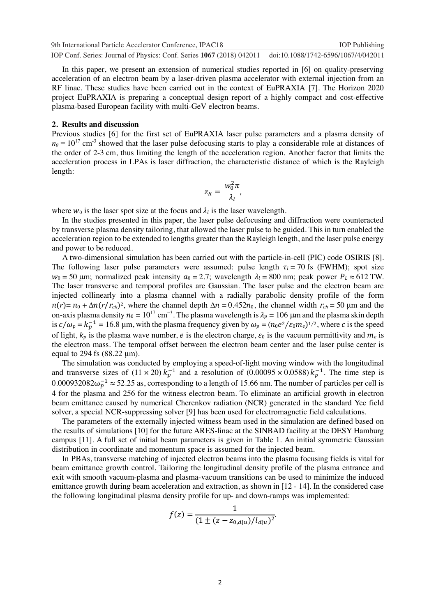**1234567890** ''"" IOP Conf. Series: Journal of Physics: Conf. Series **1067** (2018) 042011 doi :10.1088/1742-6596/1067/4/042011 9th International Particle Accelerator Conference, IPAC18 IOP Publishing

In this paper, we present an extension of numerical studies reported in [6] on quality-preserving acceleration of an electron beam by a laser-driven plasma accelerator with external injection from an RF linac. These studies have been carried out in the context of EuPRAXIA [7]. The Horizon 2020 project EuPRAXIA is preparing a conceptual design report of a highly compact and cost-effective plasma-based European facility with multi-GeV electron beams.

#### **2. Results and discussion**

Previous studies [6] for the first set of EuPRAXIA laser pulse parameters and a plasma density of  $n_0 = 10^{17}$  cm<sup>-3</sup> showed that the laser pulse defocusing starts to play a considerable role at distances of the order of 2-3 cm, thus limiting the length of the acceleration region. Another factor that limits the acceleration process in LPAs is laser diffraction, the characteristic distance of which is the Rayleigh length:

$$
z_R = \frac{w_0^2 \pi}{\lambda_l},
$$

where  $w_0$  is the laser spot size at the focus and  $\lambda_l$  is the laser wavelength.

In the studies presented in this paper, the laser pulse defocusing and diffraction were counteracted by transverse plasma density tailoring, that allowed the laser pulse to be guided. This in turn enabled the acceleration region to be extended to lengths greater than the Rayleigh length, and the laser pulse energy and power to be reduced.

A two-dimensional simulation has been carried out with the particle-in-cell (PIC) code OSIRIS [8]. The following laser pulse parameters were assumed: pulse length  $\tau_l = 70$  fs (FWHM); spot size  $w_0 = 50$  µm; normalized peak intensity  $a_0 = 2.7$ ; wavelength  $\lambda_l = 800$  nm; peak power  $P_L \approx 612$  TW. The laser transverse and temporal profiles are Gaussian. The laser pulse and the electron beam are injected collinearly into a plasma channel with a radially parabolic density profile of the form  $r(r) = n_0 + \Delta n (r/r_{ch})^2$ , where the channel depth  $\Delta n = 0.452n_0$ , the channel width  $r_{ch} = 50 \mu m$  and the on-axis plasma density  $n_0 = 10^{17}$  cm<sup>-3</sup>. The plasma wavelength is  $\lambda_p = 106$  µm and the plasma skin depth is  $c/\omega_p = k_p^{-1} = 16.8$  µm, with the plasma frequency given by  $\omega_p = (n_0 e^2/\varepsilon_0 m_e)^{1/2}$ , where c is the speed of light,  $k_p$  is the plasma wave number, e is the electron charge,  $\varepsilon_0$  is the vacuum permittivity and  $m_e$  is the electron mass. The temporal offset between the electron beam center and the laser pulse center is equal to 294 fs (88.22 μm).

The simulation was conducted by employing a speed-of-light moving window with the longitudinal and transverse sizes of  $(11 \times 20) k_p^{-1}$  and a resolution of  $(0.00095 \times 0.0588) k_p^{-1}$ . The time step is 0.000932082 $\omega_p^{-1} \approx 52.25$  as, corresponding to a length of 15.66 nm. The number of particles per cell is 4 for the plasma and 256 for the witness electron beam. To eliminate an artificial growth in electron beam emittance caused by numerical Cherenkov radiation (NCR) generated in the standard Yee field solver, a special NCR-suppressing solver [9] has been used for electromagnetic field calculations.

The parameters of the externally injected witness beam used in the simulation are defined based on the results of simulations [10] for the future ARES-linac at the SINBAD facility at the DESY Hamburg campus [11]. A full set of initial beam parameters is given in Table 1. An initial symmetric Gaussian distribution in coordinate and momentum space is assumed for the injected beam.

In PBAs, transverse matching of injected electron beams into the plasma focusing fields is vital for beam emittance growth control. Tailoring the longitudinal density profile of the plasma entrance and exit with smooth vacuum-plasma and plasma-vacuum transitions can be used to minimize the induced emittance growth during beam acceleration and extraction, as shown in [12 - 14]. In the considered case the following longitudinal plasma density profile for up- and down-ramps was implemented:

$$
f(z) = \frac{1}{(1 \pm (z - z_{0,d|u})/l_{d|u})^2}.
$$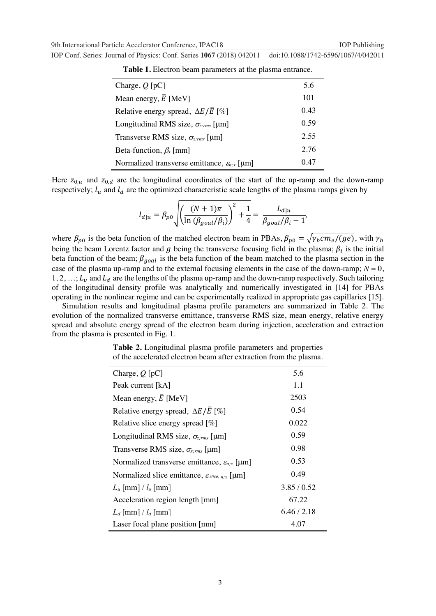| IOP Conf. Series: Journal of Physics: Conf. Series 1067 (2018) 042011 doi:10.1088/1742-6596/1067/4/042011 |  |
|-----------------------------------------------------------------------------------------------------------|--|
|-----------------------------------------------------------------------------------------------------------|--|

| Charge, $Q$ [pC]                                          | 5.6  |
|-----------------------------------------------------------|------|
| Mean energy, $\overline{E}$ [MeV]                         | 101  |
| Relative energy spread, $\Delta E/\overline{E}$ [%]       | 0.43 |
| Longitudinal RMS size, $\sigma_{z,rms}$ [µm]              | 0.59 |
| Transverse RMS size, $\sigma_{x,rms}$ [µm]                | 2.55 |
| Beta-function, $\beta_x$ [mm]                             | 2.76 |
| Normalized transverse emittance, $\varepsilon_{n,x}$ [µm] | 0.47 |

**Table 1.** Electron beam parameters at the plasma entrance.

Here  $z_{0,u}$  and  $z_{0,d}$  are the longitudinal coordinates of the start of the up-ramp and the down-ramp respectively;  $l_u$  and  $l_d$  are the optimized characteristic scale lengths of the plasma ramps given by

$$
l_{d|u} = \beta_{p0} \sqrt{\left(\frac{(N+1)\pi}{\ln(\beta_{goal}/\beta_i)}\right)^2 + \frac{1}{4}} = \frac{L_{d|u}}{\beta_{goal}/\beta_i - 1'}
$$

where  $\beta_{p0}$  is the beta function of the matched electron beam in PBAs,  $\beta_{p0} = \sqrt{\gamma_b c m_e/(ge)}$ , with  $\gamma_b$ being the beam Lorentz factor and g being the transverse focusing field in the plasma;  $\beta_i$  is the initial beta function of the beam;  $\beta_{goal}$  is the beta function of the beam matched to the plasma section in the case of the plasma up-ramp and to the external focusing elements in the case of the down-ramp;  $N = 0$ ,  $1, 2, \ldots; L_u$  and  $L_d$  are the lengths of the plasma up-ramp and the down-ramp respectively. Such tailoring of the longitudinal density profile was analytically and numerically investigated in [14] for PBAs operating in the nonlinear regime and can be experimentally realized in appropriate gas capillaries [15].

Simulation results and longitudinal plasma profile parameters are summarized in Table 2. The evolution of the normalized transverse emittance, transverse RMS size, mean energy, relative energy spread and absolute energy spread of the electron beam during injection, acceleration and extraction from the plasma is presented in Fig. 1.

| Charge, $Q$ [pC]                                             | 5.6       |
|--------------------------------------------------------------|-----------|
| Peak current [kA]                                            | 1.1       |
| Mean energy, $\overline{E}$ [MeV]                            | 2503      |
| Relative energy spread, $\Delta E/\overline{E}$ [%]          | 0.54      |
| Relative slice energy spread $[\%]$                          | 0.022     |
| Longitudinal RMS size, $\sigma_{z,rms}$ [µm]                 | 0.59      |
| Transverse RMS size, $\sigma_{x,rms}$ [µm]                   | 0.98      |
| Normalized transverse emittance, $\varepsilon_{n,x}$ [µm]    | 0.53      |
| Normalized slice emittance, $\varepsilon_{slice, n, x}$ [µm] | 0.49      |
| $L_u$ [mm] / $l_u$ [mm]                                      | 3.85/0.52 |
| Acceleration region length [mm]                              | 67.22     |
| $L_d$ [mm] / $l_d$ [mm]                                      | 6.46/2.18 |
| Laser focal plane position [mm]                              | 4.07      |

**Table 2.** Longitudinal plasma profile parameters and properties of the accelerated electron beam after extraction from the plasma.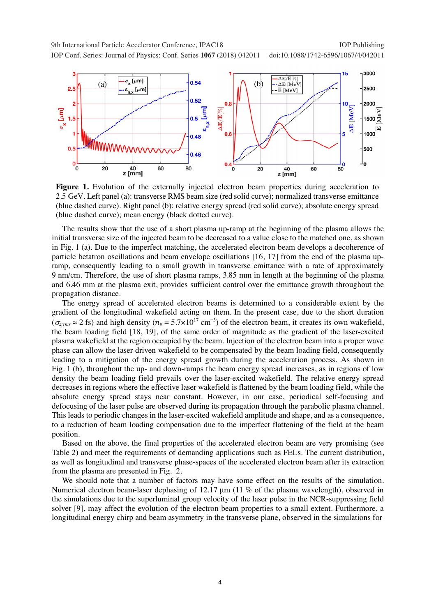**1234567890** ''"" IOP Conf. Series: Journal of Physics: Conf. Series **1067** (2018) 042011 doi :10.1088/1742-6596/1067/4/042011



**Figure 1.** Evolution of the externally injected electron beam properties during acceleration to 2.5 GeV. Left panel (a): transverse RMS beam size (red solid curve); normalized transverse emittance (blue dashed curve). Right panel (b): relative energy spread (red solid curve); absolute energy spread (blue dashed curve); mean energy (black dotted curve).

The results show that the use of a short plasma up-ramp at the beginning of the plasma allows the initial transverse size of the injected beam to be decreased to a value close to the matched one, as shown in Fig. 1 (a). Due to the imperfect matching, the accelerated electron beam develops a decoherence of particle betatron oscillations and beam envelope oscillations [16, 17] from the end of the plasma upramp, consequently leading to a small growth in transverse emittance with a rate of approximately 9 nm/cm. Therefore, the use of short plasma ramps, 3.85 mm in length at the beginning of the plasma and 6.46 mm at the plasma exit, provides sufficient control over the emittance growth throughout the propagation distance.

The energy spread of accelerated electron beams is determined to a considerable extent by the gradient of the longitudinal wakefield acting on them. In the present case, due to the short duration  $(\sigma_{z,rms} \approx 2 \text{ fs})$  and high density  $(n_b = 5.7 \times 10^{17} \text{ cm}^{-3})$  of the electron beam, it creates its own wakefield, the beam loading field [18, 19], of the same order of magnitude as the gradient of the laser-excited plasma wakefield at the region occupied by the beam. Injection of the electron beam into a proper wave phase can allow the laser-driven wakefield to be compensated by the beam loading field, consequently leading to a mitigation of the energy spread growth during the acceleration process. As shown in Fig. 1 (b), throughout the up- and down-ramps the beam energy spread increases, as in regions of low density the beam loading field prevails over the laser-excited wakefield. The relative energy spread decreases in regions where the effective laser wakefield is flattened by the beam loading field, while the absolute energy spread stays near constant. However, in our case, periodical self-focusing and defocusing of the laser pulse are observed during its propagation through the parabolic plasma channel. This leads to periodic changes in the laser-excited wakefield amplitude and shape, and as a consequence, to a reduction of beam loading compensation due to the imperfect flattening of the field at the beam position.

Based on the above, the final properties of the accelerated electron beam are very promising (see Table 2) and meet the requirements of demanding applications such as FELs. The current distribution, as well as longitudinal and transverse phase-spaces of the accelerated electron beam after its extraction from the plasma are presented in Fig. 2.

We should note that a number of factors may have some effect on the results of the simulation. Numerical electron beam-laser dephasing of 12.17 μm (11 % of the plasma wavelength), observed in the simulations due to the superluminal group velocity of the laser pulse in the NCR-suppressing field solver [9], may affect the evolution of the electron beam properties to a small extent. Furthermore, a longitudinal energy chirp and beam asymmetry in the transverse plane, observed in the simulations for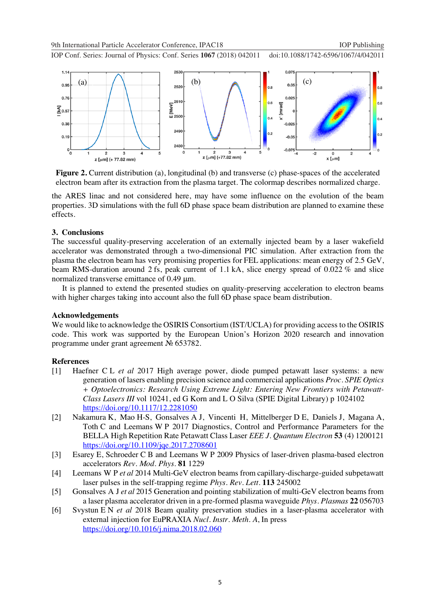9th International Particle Accelerator Conference, IPAC18 IOP Publishing

**1234567890** ''"" IOP Conf. Series: Journal of Physics: Conf. Series **1067** (2018) 042011 doi :10.1088/1742-6596/1067/4/042011



**Figure 2.** Current distribution (a), longitudinal (b) and transverse (c) phase-spaces of the accelerated electron beam after its extraction from the plasma target. The colormap describes normalized charge.

the ARES linac and not considered here, may have some influence on the evolution of the beam properties. 3D simulations with the full 6D phase space beam distribution are planned to examine these effects.

#### **3. Conclusions**

The successful quality-preserving acceleration of an externally injected beam by a laser wakefield accelerator was demonstrated through a two-dimensional PIC simulation. After extraction from the plasma the electron beam has very promising properties for FEL applications: mean energy of 2.5 GeV, beam RMS-duration around 2 fs, peak current of 1.1 kA, slice energy spread of 0.022 % and slice normalized transverse emittance of 0.49 μm.

It is planned to extend the presented studies on quality-preserving acceleration to electron beams with higher charges taking into account also the full 6D phase space beam distribution.

### **Acknowledgements**

We would like to acknowledge the OSIRIS Consortium (IST/UCLA) for providing access to the OSIRIS code. This work was supported by the European Union's Horizon 2020 research and innovation programme under grant agreement № 653782.

#### **References**

- [1] Haefner C L *et al* 2017 High average power, diode pumped petawatt laser systems: a new generation of lasers enabling precision science and commercial applications *Proc. SPIE Optics + Optoelectronics: Research Using Extreme Light: Entering New Frontiers with Petawatt-Class Lasers III* vol 10241, ed G Korn and L O Silva (SPIE Digital Library) p 1024102 https://doi.org/10.1117/12.2281050
- [2] Nakamura K, Mao H-S, Gonsalves A J, Vincenti H, Mittelberger D E, Daniels J, Magana A, Toth C and Leemans W P 2017 Diagnostics, Control and Performance Parameters for the BELLA High Repetition Rate Petawatt Class Laser *EEE J. Quantum Electron* **53** (4) 1200121 https://doi.org/10.1109/jqe.2017.2708601
- [3] Esarey E, Schroeder C B and Leemans W P 2009 Physics of laser-driven plasma-based electron accelerators *Rev. Mod. Phys*. **81** 1229
- [4] Leemans W P *et al* 2014 Multi-GeV electron beams from capillary-discharge-guided subpetawatt laser pulses in the self-trapping regime *Phys. Rev. Lett*. **113** 245002
- [5] Gonsalves A J *et al* 2015 Generation and pointing stabilization of multi-GeV electron beams from a laser plasma accelerator driven in a pre-formed plasma waveguide *Phys. Plasmas* **22** 056703
- [6] Svystun E N *et al* 2018 Beam quality preservation studies in a laser-plasma accelerator with external injection for EuPRAXIA *Nucl. Instr. Meth. A*, In press https://doi.org/10.1016/j.nima.2018.02.060